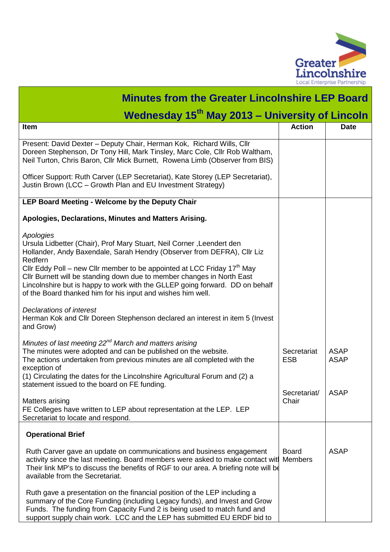

| <b>Minutes from the Greater Lincolnshire LEP Board</b>                                                                                                                                                                                                                                                                                                                                                                                                                                   |                                |                            |  |  |
|------------------------------------------------------------------------------------------------------------------------------------------------------------------------------------------------------------------------------------------------------------------------------------------------------------------------------------------------------------------------------------------------------------------------------------------------------------------------------------------|--------------------------------|----------------------------|--|--|
| Wednesday 15 <sup>th</sup> May 2013 - University of Lincoln                                                                                                                                                                                                                                                                                                                                                                                                                              |                                |                            |  |  |
| Item                                                                                                                                                                                                                                                                                                                                                                                                                                                                                     | <b>Action</b>                  | <b>Date</b>                |  |  |
| Present: David Dexter - Deputy Chair, Herman Kok, Richard Wills, Cllr<br>Doreen Stephenson, Dr Tony Hill, Mark Tinsley, Marc Cole, Cllr Rob Waltham,<br>Neil Turton, Chris Baron, Cllr Mick Burnett, Rowena Limb (Observer from BIS)                                                                                                                                                                                                                                                     |                                |                            |  |  |
| Officer Support: Ruth Carver (LEP Secretariat), Kate Storey (LEP Secretariat),<br>Justin Brown (LCC – Growth Plan and EU Investment Strategy)                                                                                                                                                                                                                                                                                                                                            |                                |                            |  |  |
| LEP Board Meeting - Welcome by the Deputy Chair                                                                                                                                                                                                                                                                                                                                                                                                                                          |                                |                            |  |  |
| Apologies, Declarations, Minutes and Matters Arising.                                                                                                                                                                                                                                                                                                                                                                                                                                    |                                |                            |  |  |
| Apologies<br>Ursula Lidbetter (Chair), Prof Mary Stuart, Neil Corner, Leendert den<br>Hollander, Andy Baxendale, Sarah Hendry (Observer from DEFRA), Cllr Liz<br>Redfern<br>Cllr Eddy Poll – new Cllr member to be appointed at LCC Friday 17 <sup>th</sup> May<br>Cllr Burnett will be standing down due to member changes in North East<br>Lincolnshire but is happy to work with the GLLEP going forward. DD on behalf<br>of the Board thanked him for his input and wishes him well. |                                |                            |  |  |
| Declarations of interest<br>Herman Kok and Cllr Doreen Stephenson declared an interest in item 5 (Invest<br>and Grow)                                                                                                                                                                                                                                                                                                                                                                    |                                |                            |  |  |
| Minutes of last meeting 22 <sup>nd</sup> March and matters arising<br>The minutes were adopted and can be published on the website.<br>The actions undertaken from previous minutes are all completed with the<br>exception of<br>(1) Circulating the dates for the Lincolnshire Agricultural Forum and (2) a                                                                                                                                                                            | Secretariat<br><b>ESB</b>      | <b>ASAP</b><br><b>ASAP</b> |  |  |
| statement issued to the board on FE funding.                                                                                                                                                                                                                                                                                                                                                                                                                                             | Secretariat/                   | <b>ASAP</b>                |  |  |
| Matters arising<br>FE Colleges have written to LEP about representation at the LEP. LEP<br>Secretariat to locate and respond.                                                                                                                                                                                                                                                                                                                                                            | Chair                          |                            |  |  |
| <b>Operational Brief</b>                                                                                                                                                                                                                                                                                                                                                                                                                                                                 |                                |                            |  |  |
| Ruth Carver gave an update on communications and business engagement<br>activity since the last meeting. Board members were asked to make contact wit<br>Their link MP's to discuss the benefits of RGF to our area. A briefing note will be<br>available from the Secretariat.                                                                                                                                                                                                          | <b>Board</b><br><b>Members</b> | <b>ASAP</b>                |  |  |
| Ruth gave a presentation on the financial position of the LEP including a<br>summary of the Core Funding (including Legacy funds), and Invest and Grow<br>Funds. The funding from Capacity Fund 2 is being used to match fund and<br>support supply chain work. LCC and the LEP has submitted EU ERDF bid to                                                                                                                                                                             |                                |                            |  |  |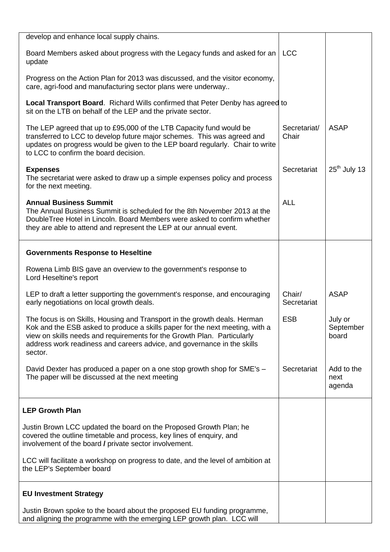| develop and enhance local supply chains.                                                                                                                                                                                                                                                                                   |                       |                               |
|----------------------------------------------------------------------------------------------------------------------------------------------------------------------------------------------------------------------------------------------------------------------------------------------------------------------------|-----------------------|-------------------------------|
| Board Members asked about progress with the Legacy funds and asked for an<br>update                                                                                                                                                                                                                                        | <b>LCC</b>            |                               |
| Progress on the Action Plan for 2013 was discussed, and the visitor economy,<br>care, agri-food and manufacturing sector plans were underway                                                                                                                                                                               |                       |                               |
| <b>Local Transport Board.</b> Richard Wills confirmed that Peter Denby has agreed to<br>sit on the LTB on behalf of the LEP and the private sector.                                                                                                                                                                        |                       |                               |
| The LEP agreed that up to £95,000 of the LTB Capacity fund would be<br>transferred to LCC to develop future major schemes. This was agreed and<br>updates on progress would be given to the LEP board regularly. Chair to write<br>to LCC to confirm the board decision.                                                   | Secretariat/<br>Chair | <b>ASAP</b>                   |
| <b>Expenses</b><br>The secretariat were asked to draw up a simple expenses policy and process<br>for the next meeting.                                                                                                                                                                                                     | Secretariat           | $25th$ July 13                |
| <b>Annual Business Summit</b><br>The Annual Business Summit is scheduled for the 8th November 2013 at the<br>DoubleTree Hotel in Lincoln. Board Members were asked to confirm whether<br>they are able to attend and represent the LEP at our annual event.                                                                | <b>ALL</b>            |                               |
| <b>Governments Response to Heseltine</b>                                                                                                                                                                                                                                                                                   |                       |                               |
| Rowena Limb BIS gave an overview to the government's response to<br>Lord Heseltine's report                                                                                                                                                                                                                                |                       |                               |
| LEP to draft a letter supporting the government's response, and encouraging<br>early negotiations on local growth deals.                                                                                                                                                                                                   | Chair/<br>Secretariat | <b>ASAP</b>                   |
| The focus is on Skills, Housing and Transport in the growth deals. Herman<br>Kok and the ESB asked to produce a skills paper for the next meeting, with a<br>view on skills needs and requirements for the Growth Plan. Particularly<br>address work readiness and careers advice, and governance in the skills<br>sector. | <b>ESB</b>            | July or<br>September<br>board |
| David Dexter has produced a paper on a one stop growth shop for SME's -<br>The paper will be discussed at the next meeting                                                                                                                                                                                                 | Secretariat           | Add to the<br>next<br>agenda  |
| <b>LEP Growth Plan</b>                                                                                                                                                                                                                                                                                                     |                       |                               |
| Justin Brown LCC updated the board on the Proposed Growth Plan; he<br>covered the outline timetable and process, key lines of enquiry, and<br>involvement of the board / private sector involvement.                                                                                                                       |                       |                               |
| LCC will facilitate a workshop on progress to date, and the level of ambition at<br>the LEP's September board                                                                                                                                                                                                              |                       |                               |
| <b>EU Investment Strategy</b>                                                                                                                                                                                                                                                                                              |                       |                               |
| Justin Brown spoke to the board about the proposed EU funding programme,<br>and aligning the programme with the emerging LEP growth plan. LCC will                                                                                                                                                                         |                       |                               |